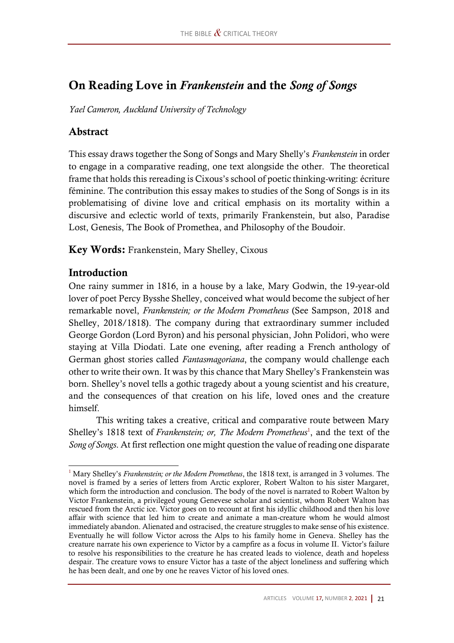# On Reading Love in *Frankenstein* and the *Song of Songs*

*Yael Cameron, Auckland University of Technology*

### Abstract

This essay draws together the Song of Songs and Mary Shelly's *Frankenstein* in order to engage in a comparative reading, one text alongside the other. The theoretical frame that holds this rereading is Cixous's school of poetic thinking-writing: écriture féminine. The contribution this essay makes to studies of the Song of Songs is in its problematising of divine love and critical emphasis on its mortality within a discursive and eclectic world of texts, primarily Frankenstein, but also, Paradise Lost, Genesis, The Book of Promethea, and Philosophy of the Boudoir.

Key Words: Frankenstein, Mary Shelley, Cixous

#### Introduction

One rainy summer in 1816, in a house by a lake, Mary Godwin, the 19-year-old lover of poet Percy Bysshe Shelley, conceived what would become the subject of her remarkable novel, *Frankenstein; or the Modern Prometheus* (See Sampson, 2018 and Shelley, 2018/1818). The company during that extraordinary summer included George Gordon (Lord Byron) and his personal physician, John Polidori, who were staying at Villa Diodati. Late one evening, after reading a French anthology of German ghost stories called *Fantasmagoriana*, the company would challenge each other to write their own. It was by this chance that Mary Shelley's Frankenstein was born. Shelley's novel tells a gothic tragedy about a young scientist and his creature, and the consequences of that creation on his life, loved ones and the creature himself.

This writing takes a creative, critical and comparative route between Mary Shelley's 1818 text of *Frankenstein; or, The Modern Prometheus*<sup>1</sup>, and the text of the *Song of Songs*. At first reflection one might question the value of reading one disparate

<sup>1</sup> Mary Shelley's *Frankenstein; or the Modern Prometheus*, the 1818 text, is arranged in 3 volumes. The novel is framed by a series of letters from Arctic explorer, Robert Walton to his sister Margaret, which form the introduction and conclusion. The body of the novel is narrated to Robert Walton by Victor Frankenstein, a privileged young Genevese scholar and scientist, whom Robert Walton has rescued from the Arctic ice. Victor goes on to recount at first his idyllic childhood and then his love affair with science that led him to create and animate a man-creature whom he would almost immediately abandon. Alienated and ostracised, the creature struggles to make sense of his existence. Eventually he will follow Victor across the Alps to his family home in Geneva. Shelley has the creature narrate his own experience to Victor by a campfire as a focus in volume II. Victor's failure to resolve his responsibilities to the creature he has created leads to violence, death and hopeless despair. The creature vows to ensure Victor has a taste of the abject loneliness and suffering which he has been dealt, and one by one he reaves Victor of his loved ones.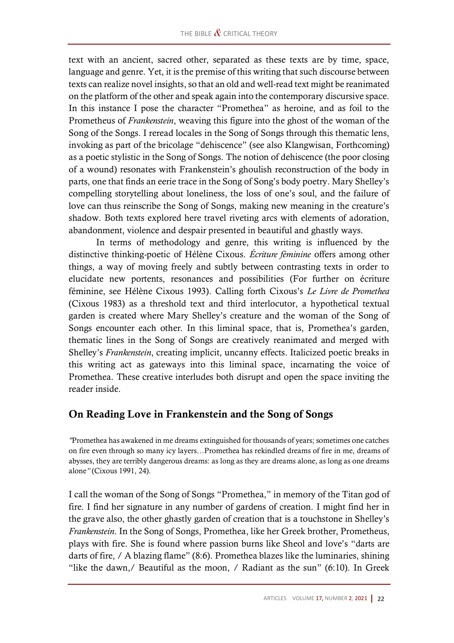text with an ancient, sacred other, separated as these texts are by time, space, language and genre. Yet, it is the premise of this writing that such discourse between texts can realize novel insights, so that an old and well-read text might be reanimated on the platform of the other and speak again into the contemporary discursive space. In this instance I pose the character "Promethea" as heroine, and as foil to the Prometheus of *Frankenstein*, weaving this figure into the ghost of the woman of the Song of the Songs. I reread locales in the Song of Songs through this thematic lens, invoking as part of the bricolage "dehiscence" (see also Klangwisan, Forthcoming) as a poetic stylistic in the Song of Songs. The notion of dehiscence (the poor closing of a wound) resonates with Frankenstein's ghoulish reconstruction of the body in parts, one that finds an eerie trace in the Song of Song's body poetry. Mary Shelley's compelling storytelling about loneliness, the loss of one's soul, and the failure of love can thus reinscribe the Song of Songs, making new meaning in the creature's shadow. Both texts explored here travel riveting arcs with elements of adoration, abandonment, violence and despair presented in beautiful and ghastly ways.

In terms of methodology and genre, this writing is influenced by the distinctive thinking-poetic of Hélène Cixous. *Écriture féminine* offers among other things, a way of moving freely and subtly between contrasting texts in order to elucidate new portents, resonances and possibilities (For further on écriture féminine, see Hélène Cixous 1993). Calling forth Cixous's *Le Livre de Promethea* (Cixous 1983) as a threshold text and third interlocutor, a hypothetical textual garden is created where Mary Shelley's creature and the woman of the Song of Songs encounter each other. In this liminal space, that is, Promethea's garden, thematic lines in the Song of Songs are creatively reanimated and merged with Shelley's *Frankenstein*, creating implicit, uncanny effects. Italicized poetic breaks in this writing act as gateways into this liminal space, incarnating the voice of Promethea. These creative interludes both disrupt and open the space inviting the reader inside.

## On Reading Love in Frankenstein and the Song of Songs

*"*Promethea has awakened in me dreams extinguished for thousands of years; sometimes one catches on fire even through so many icy layers…Promethea has rekindled dreams of fire in me, dreams of abysses, they are terribly dangerous dreams: as long as they are dreams alone, as long as one dreams alone*"* (Cixous 1991, 24).

I call the woman of the Song of Songs "Promethea," in memory of the Titan god of fire. I find her signature in any number of gardens of creation. I might find her in the grave also, the other ghastly garden of creation that is a touchstone in Shelley's *Frankenstein*. In the Song of Songs, Promethea, like her Greek brother, Prometheus, plays with fire. She is found where passion burns like Sheol and love's "darts are darts of fire, / A blazing flame" (8:6). Promethea blazes like the luminaries, shining "like the dawn,  $\ell$  Beautiful as the moon,  $\ell$  Radiant as the sun" (6:10). In Greek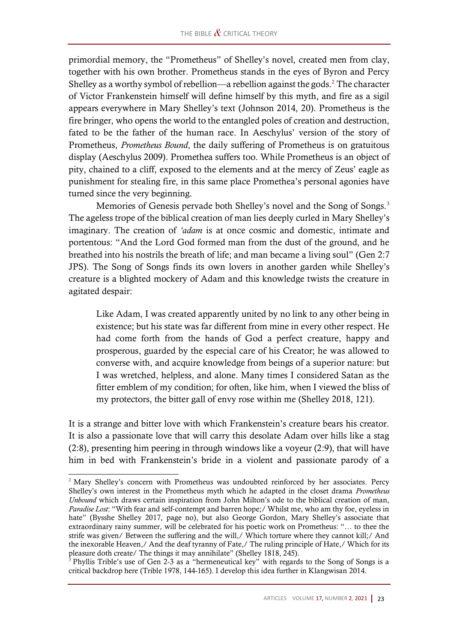primordial memory, the "Prometheus" of Shelley's novel, created men from clay, together with his own brother. Prometheus stands in the eyes of Byron and Percy Shelley as a worthy symbol of rebellion—a rebellion against the gods.<sup>2</sup> The character of Victor Frankenstein himself will define himself by this myth, and fire as a sigil appears everywhere in Mary Shelley's text (Johnson 2014, 20). Prometheus is the fire bringer, who opens the world to the entangled poles of creation and destruction, fated to be the father of the human race. In Aeschylus' version of the story of Prometheus, *Prometheus Bound*, the daily suffering of Prometheus is on gratuitous display (Aeschylus 2009). Promethea suffers too. While Prometheus is an object of pity, chained to a cliff, exposed to the elements and at the mercy of Zeus' eagle as punishment for stealing fire, in this same place Promethea's personal agonies have turned since the very beginning.

Memories of Genesis pervade both Shelley's novel and the Song of Songs.<sup>3</sup> The ageless trope of the biblical creation of man lies deeply curled in Mary Shelley's imaginary. The creation of *'adam* is at once cosmic and domestic, intimate and portentous: "And the Lord God formed man from the dust of the ground, and he breathed into his nostrils the breath of life; and man became a living soul" (Gen 2:7 JPS). The Song of Songs finds its own lovers in another garden while Shelley's creature is a blighted mockery of Adam and this knowledge twists the creature in agitated despair:

Like Adam, I was created apparently united by no link to any other being in existence; but his state was far different from mine in every other respect. He had come forth from the hands of God a perfect creature, happy and prosperous, guarded by the especial care of his Creator; he was allowed to converse with, and acquire knowledge from beings of a superior nature: but I was wretched, helpless, and alone. Many times I considered Satan as the fitter emblem of my condition; for often, like him, when I viewed the bliss of my protectors, the bitter gall of envy rose within me (Shelley 2018, 121).

It is a strange and bitter love with which Frankenstein's creature bears his creator. It is also a passionate love that will carry this desolate Adam over hills like a stag (2:8), presenting him peering in through windows like a voyeur (2:9), that will have him in bed with Frankenstein's bride in a violent and passionate parody of a

<sup>&</sup>lt;sup>2</sup> Mary Shelley's concern with Prometheus was undoubted reinforced by her associates. Percy Shelley's own interest in the Prometheus myth which he adapted in the closet drama *Prometheus Unbound* which draws certain inspiration from John Milton's ode to the biblical creation of man, *Paradise Lost*: "With fear and self-contempt and barren hope;/ Whilst me, who am thy foe, eyeless in hate" (Bysshe Shelley 2017, page no), but also George Gordon, Mary Shelley's associate that extraordinary rainy summer, will be celebrated for his poetic work on Prometheus: "… to thee the strife was given/ Between the suffering and the will,/ Which torture where they cannot kill;/ And the inexorable Heaven,/ And the deaf tyranny of Fate,/ The ruling principle of Hate,/ Which for its pleasure doth create/ The things it may annihilate" (Shelley 1818, 245).

 $3$  Phyllis Trible's use of Gen 2-3 as a "hermeneutical key" with regards to the Song of Songs is a critical backdrop here (Trible 1978, 144-165). I develop this idea further in Klangwisan 2014.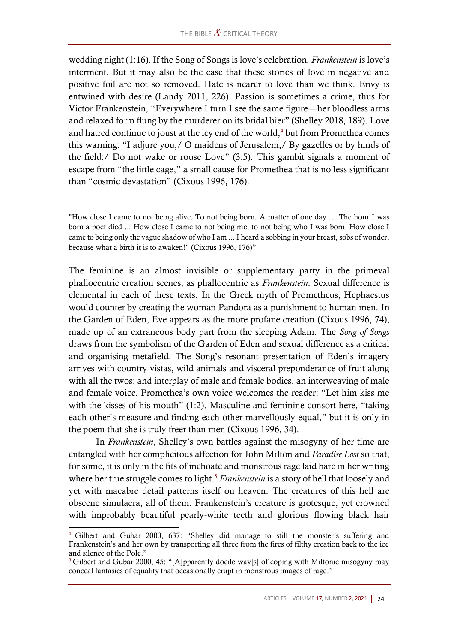wedding night (1:16). If the Song of Songs is love's celebration, *Frankenstein* is love's interment. But it may also be the case that these stories of love in negative and positive foil are not so removed. Hate is nearer to love than we think. Envy is entwined with desire (Landy 2011, 226). Passion is sometimes a crime, thus for Victor Frankenstein, "Everywhere I turn I see the same figure—her bloodless arms and relaxed form flung by the murderer on its bridal bier" (Shelley 2018, 189). Love and hatred continue to joust at the icy end of the world, $4$  but from Promethea comes this warning: "I adjure you,/ O maidens of Jerusalem,/ By gazelles or by hinds of the field:/ Do not wake or rouse Love" (3:5). This gambit signals a moment of escape from "the little cage," a small cause for Promethea that is no less significant than "cosmic devastation" (Cixous 1996, 176).

"How close I came to not being alive. To not being born. A matter of one day … The hour I was born a poet died ... How close I came to not being me, to not being who I was born. How close I came to being only the vague shadow of who I am ... I heard a sobbing in your breast, sobs of wonder, because what a birth it is to awaken!" (Cixous 1996, 176)"

The feminine is an almost invisible or supplementary party in the primeval phallocentric creation scenes, as phallocentric as *Frankenstein*. Sexual difference is elemental in each of these texts. In the Greek myth of Prometheus, Hephaestus would counter by creating the woman Pandora as a punishment to human men. In the Garden of Eden, Eve appears as the more profane creation (Cixous 1996, 74), made up of an extraneous body part from the sleeping Adam. The *Song of Songs* draws from the symbolism of the Garden of Eden and sexual difference as a critical and organising metafield. The Song's resonant presentation of Eden's imagery arrives with country vistas, wild animals and visceral preponderance of fruit along with all the twos: and interplay of male and female bodies, an interweaving of male and female voice. Promethea's own voice welcomes the reader: "Let him kiss me with the kisses of his mouth" (1:2). Masculine and feminine consort here, "taking each other's measure and finding each other marvellously equal," but it is only in the poem that she is truly freer than men (Cixous 1996, 34).

In *Frankenstein*, Shelley's own battles against the misogyny of her time are entangled with her complicitous affection for John Milton and *Paradise Lost* so that, for some, it is only in the fits of inchoate and monstrous rage laid bare in her writing where her true struggle comes to light.<sup>5</sup> *Frankenstein* is a story of hell that loosely and yet with macabre detail patterns itself on heaven. The creatures of this hell are obscene simulacra, all of them. Frankenstein's creature is grotesque, yet crowned with improbably beautiful pearly-white teeth and glorious flowing black hair

<sup>4</sup> Gilbert and Gubar 2000, 637: "Shelley did manage to still the monster's suffering and Frankenstein's and her own by transporting all three from the fires of filthy creation back to the ice and silence of the Pole."

 $5$  Gilbert and Gubar 2000, 45: "[A]pparently docile way[s] of coping with Miltonic misogyny may conceal fantasies of equality that occasionally erupt in monstrous images of rage."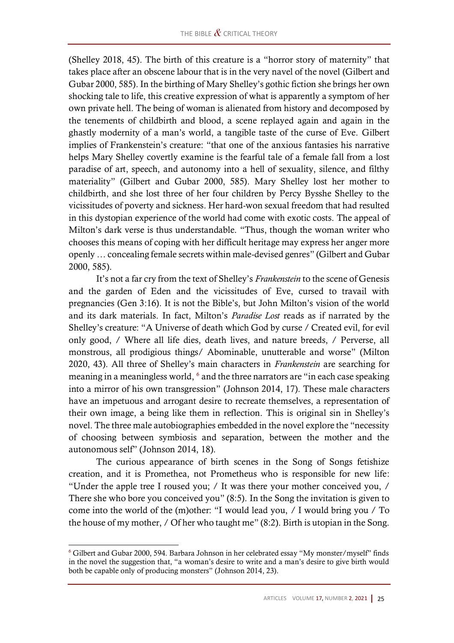(Shelley 2018, 45). The birth of this creature is a "horror story of maternity" that takes place after an obscene labour that is in the very navel of the novel (Gilbert and Gubar 2000, 585). In the birthing of Mary Shelley's gothic fiction she brings her own shocking tale to life, this creative expression of what is apparently a symptom of her own private hell. The being of woman is alienated from history and decomposed by the tenements of childbirth and blood, a scene replayed again and again in the ghastly modernity of a man's world, a tangible taste of the curse of Eve. Gilbert implies of Frankenstein's creature: "that one of the anxious fantasies his narrative helps Mary Shelley covertly examine is the fearful tale of a female fall from a lost paradise of art, speech, and autonomy into a hell of sexuality, silence, and filthy materiality" (Gilbert and Gubar 2000, 585). Mary Shelley lost her mother to childbirth, and she lost three of her four children by Percy Bysshe Shelley to the vicissitudes of poverty and sickness. Her hard-won sexual freedom that had resulted in this dystopian experience of the world had come with exotic costs. The appeal of Milton's dark verse is thus understandable. "Thus, though the woman writer who chooses this means of coping with her difficult heritage may express her anger more openly … concealing female secrets within male-devised genres" (Gilbert and Gubar 2000, 585).

It's not a far cry from the text of Shelley's *Frankenstein* to the scene of Genesis and the garden of Eden and the vicissitudes of Eve, cursed to travail with pregnancies (Gen 3:16). It is not the Bible's, but John Milton's vision of the world and its dark materials. In fact, Milton's *Paradise Lost* reads as if narrated by the Shelley's creature: "A Universe of death which God by curse / Created evil, for evil only good, / Where all life dies, death lives, and nature breeds, / Perverse, all monstrous, all prodigious things/ Abominable, unutterable and worse" (Milton 2020, 43). All three of Shelley's main characters in *Frankenstein* are searching for meaning in a meaningless world, <sup>6</sup> and the three narrators are "in each case speaking into a mirror of his own transgression" (Johnson 2014, 17). These male characters have an impetuous and arrogant desire to recreate themselves, a representation of their own image, a being like them in reflection. This is original sin in Shelley's novel. The three male autobiographies embedded in the novel explore the "necessity of choosing between symbiosis and separation, between the mother and the autonomous self" (Johnson 2014, 18).

The curious appearance of birth scenes in the Song of Songs fetishize creation, and it is Promethea, not Prometheus who is responsible for new life: "Under the apple tree I roused you; / It was there your mother conceived you, / There she who bore you conceived you" (8:5). In the Song the invitation is given to come into the world of the (m)other: "I would lead you, / I would bring you / To the house of my mother, / Of her who taught me" (8:2). Birth is utopian in the Song.

<sup>6</sup> Gilbert and Gubar 2000, 594. Barbara Johnson in her celebrated essay "My monster/myself" finds in the novel the suggestion that, "a woman's desire to write and a man's desire to give birth would both be capable only of producing monsters" (Johnson 2014, 23).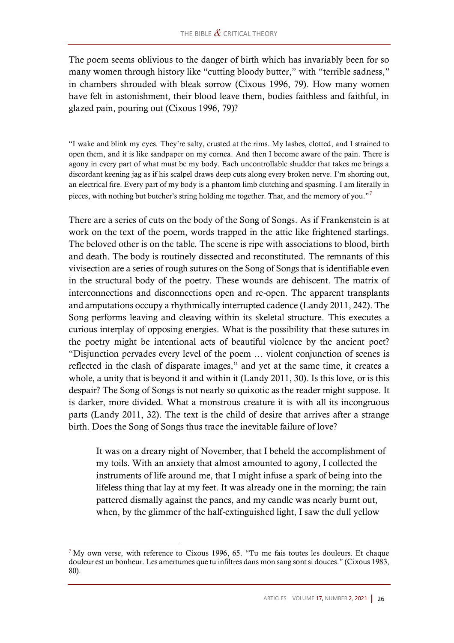The poem seems oblivious to the danger of birth which has invariably been for so many women through history like "cutting bloody butter," with "terrible sadness," in chambers shrouded with bleak sorrow (Cixous 1996, 79). How many women have felt in astonishment, their blood leave them, bodies faithless and faithful, in glazed pain, pouring out (Cixous 1996, 79)?

"I wake and blink my eyes. They're salty, crusted at the rims. My lashes, clotted, and I strained to open them, and it is like sandpaper on my cornea. And then I become aware of the pain. There is agony in every part of what must be my body. Each uncontrollable shudder that takes me brings a discordant keening jag as if his scalpel draws deep cuts along every broken nerve. I'm shorting out, an electrical fire. Every part of my body is a phantom limb clutching and spasming. I am literally in pieces, with nothing but butcher's string holding me together. That, and the memory of you."<sup>7</sup>

There are a series of cuts on the body of the Song of Songs. As if Frankenstein is at work on the text of the poem, words trapped in the attic like frightened starlings. The beloved other is on the table. The scene is ripe with associations to blood, birth and death. The body is routinely dissected and reconstituted. The remnants of this vivisection are a series of rough sutures on the Song of Songs that is identifiable even in the structural body of the poetry. These wounds are dehiscent. The matrix of interconnections and disconnections open and re-open. The apparent transplants and amputations occupy a rhythmically interrupted cadence (Landy 2011, 242). The Song performs leaving and cleaving within its skeletal structure. This executes a curious interplay of opposing energies. What is the possibility that these sutures in the poetry might be intentional acts of beautiful violence by the ancient poet? "Disjunction pervades every level of the poem … violent conjunction of scenes is reflected in the clash of disparate images," and yet at the same time, it creates a whole, a unity that is beyond it and within it (Landy 2011, 30). Is this love, or is this despair? The Song of Songs is not nearly so quixotic as the reader might suppose. It is darker, more divided. What a monstrous creature it is with all its incongruous parts (Landy 2011, 32). The text is the child of desire that arrives after a strange birth. Does the Song of Songs thus trace the inevitable failure of love?

It was on a dreary night of November, that I beheld the accomplishment of my toils. With an anxiety that almost amounted to agony, I collected the instruments of life around me, that I might infuse a spark of being into the lifeless thing that lay at my feet. It was already one in the morning; the rain pattered dismally against the panes, and my candle was nearly burnt out, when, by the glimmer of the half-extinguished light, I saw the dull yellow

 $7$  My own verse, with reference to Cixous 1996, 65. "Tu me fais toutes les douleurs. Et chaque douleur est un bonheur. Les amertumes que tu infiltres dans mon sang sont si douces." (Cixous 1983, 80).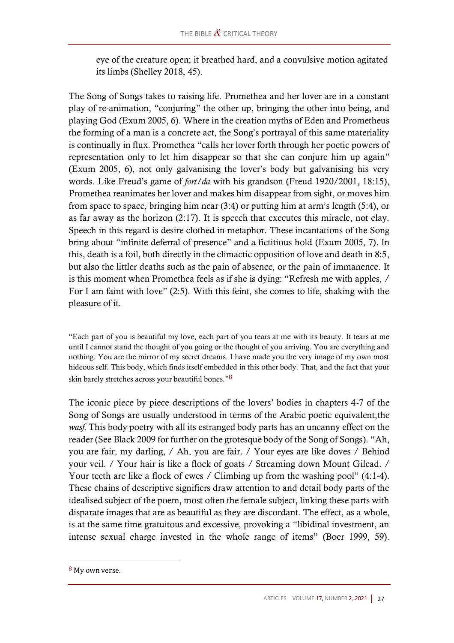eye of the creature open; it breathed hard, and a convulsive motion agitated its limbs (Shelley 2018, 45).

The Song of Songs takes to raising life. Promethea and her lover are in a constant play of re-animation, "conjuring" the other up, bringing the other into being, and playing God (Exum 2005, 6). Where in the creation myths of Eden and Prometheus the forming of a man is a concrete act, the Song's portrayal of this same materiality is continually in flux. Promethea "calls her lover forth through her poetic powers of representation only to let him disappear so that she can conjure him up again" (Exum 2005, 6), not only galvanising the lover's body but galvanising his very words. Like Freud's game of *fort/da* with his grandson (Freud 1920/2001, 18:15), Promethea reanimates her lover and makes him disappear from sight, or moves him from space to space, bringing him near (3:4) or putting him at arm's length (5:4), or as far away as the horizon (2:17). It is speech that executes this miracle, not clay. Speech in this regard is desire clothed in metaphor. These incantations of the Song bring about "infinite deferral of presence" and a fictitious hold (Exum 2005, 7). In this, death is a foil, both directly in the climactic opposition of love and death in 8:5, but also the littler deaths such as the pain of absence, or the pain of immanence. It is this moment when Promethea feels as if she is dying: "Refresh me with apples, / For I am faint with love" (2:5). With this feint, she comes to life, shaking with the pleasure of it.

"Each part of you is beautiful my love, each part of you tears at me with its beauty. It tears at me until I cannot stand the thought of you going or the thought of you arriving. You are everything and nothing. You are the mirror of my secret dreams. I have made you the very image of my own most hideous self. This body, which finds itself embedded in this other body. That, and the fact that your skin barely stretches across your beautiful bones."8

The iconic piece by piece descriptions of the lovers' bodies in chapters 4-7 of the Song of Songs are usually understood in terms of the Arabic poetic equivalent,the *wasf.* This body poetry with all its estranged body parts has an uncanny effect on the reader (See Black 2009 for further on the grotesque body of the Song of Songs). "Ah, you are fair, my darling, / Ah, you are fair. / Your eyes are like doves / Behind your veil. / Your hair is like a flock of goats / Streaming down Mount Gilead. / Your teeth are like a flock of ewes / Climbing up from the washing pool" (4:1-4). These chains of descriptive signifiers draw attention to and detail body parts of the idealised subject of the poem, most often the female subject, linking these parts with disparate images that are as beautiful as they are discordant. The effect, as a whole, is at the same time gratuitous and excessive, provoking a "libidinal investment, an intense sexual charge invested in the whole range of items" (Boer 1999, 59).

<sup>8</sup> My own verse.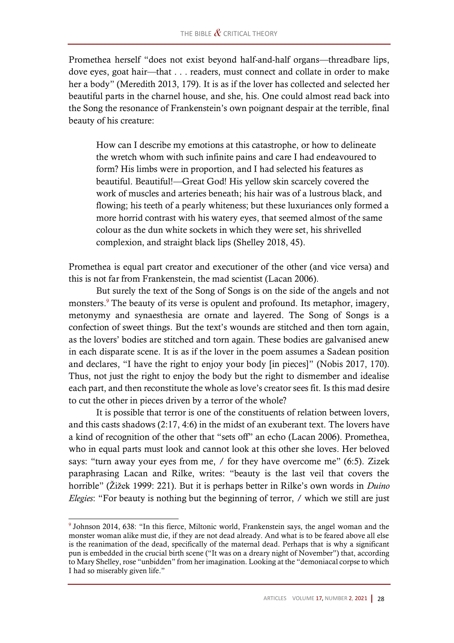Promethea herself "does not exist beyond half-and-half organs—threadbare lips, dove eyes, goat hair—that . . . readers, must connect and collate in order to make her a body" (Meredith 2013, 179). It is as if the lover has collected and selected her beautiful parts in the charnel house, and she, his. One could almost read back into the Song the resonance of Frankenstein's own poignant despair at the terrible, final beauty of his creature:

How can I describe my emotions at this catastrophe, or how to delineate the wretch whom with such infinite pains and care I had endeavoured to form? His limbs were in proportion, and I had selected his features as beautiful. Beautiful!—Great God! His yellow skin scarcely covered the work of muscles and arteries beneath; his hair was of a lustrous black, and flowing; his teeth of a pearly whiteness; but these luxuriances only formed a more horrid contrast with his watery eyes, that seemed almost of the same colour as the dun white sockets in which they were set, his shrivelled complexion, and straight black lips (Shelley 2018, 45).

Promethea is equal part creator and executioner of the other (and vice versa) and this is not far from Frankenstein, the mad scientist (Lacan 2006).

But surely the text of the Song of Songs is on the side of the angels and not monsters.<sup>9</sup> The beauty of its verse is opulent and profound. Its metaphor, imagery, metonymy and synaesthesia are ornate and layered. The Song of Songs is a confection of sweet things. But the text's wounds are stitched and then torn again, as the lovers' bodies are stitched and torn again. These bodies are galvanised anew in each disparate scene. It is as if the lover in the poem assumes a Sadean position and declares, "I have the right to enjoy your body [in pieces]" (Nobis 2017, 170). Thus, not just the right to enjoy the body but the right to dismember and idealise each part, and then reconstitute the whole as love's creator sees fit. Is this mad desire to cut the other in pieces driven by a terror of the whole?

It is possible that terror is one of the constituents of relation between lovers, and this casts shadows (2:17, 4:6) in the midst of an exuberant text. The lovers have a kind of recognition of the other that "sets off" an echo (Lacan 2006). Promethea, who in equal parts must look and cannot look at this other she loves. Her beloved says: "turn away your eyes from me, / for they have overcome me" (6:5). Zizek paraphrasing Lacan and Rilke, writes: "beauty is the last veil that covers the horrible" (Žižek 1999: 221). But it is perhaps better in Rilke's own words in *Duino Elegies*: "For beauty is nothing but the beginning of terror, / which we still are just

<sup>9</sup> Johnson 2014, 638: "In this fierce, Miltonic world, Frankenstein says, the angel woman and the monster woman alike must die, if they are not dead already. And what is to be feared above all else is the reanimation of the dead, specifically of the maternal dead. Perhaps that is why a significant pun is embedded in the crucial birth scene ("It was on a dreary night of November") that, according to Mary Shelley, rose "unbidden" from her imagination. Looking at the "demoniacal corpse to which I had so miserably given life."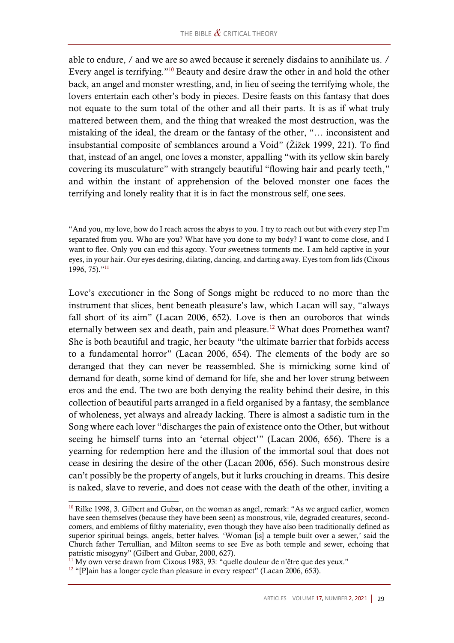able to endure, / and we are so awed because it serenely disdains to annihilate us. / Every angel is terrifying."<sup>10</sup> Beauty and desire draw the other in and hold the other back, an angel and monster wrestling, and, in lieu of seeing the terrifying whole, the lovers entertain each other's body in pieces. Desire feasts on this fantasy that does not equate to the sum total of the other and all their parts. It is as if what truly mattered between them, and the thing that wreaked the most destruction, was the mistaking of the ideal, the dream or the fantasy of the other, "… inconsistent and insubstantial composite of semblances around a Void" (Žižek 1999, 221). To find that, instead of an angel, one loves a monster, appalling "with its yellow skin barely covering its musculature" with strangely beautiful "flowing hair and pearly teeth," and within the instant of apprehension of the beloved monster one faces the terrifying and lonely reality that it is in fact the monstrous self, one sees.

"And you, my love, how do I reach across the abyss to you. I try to reach out but with every step I'm separated from you. Who are you? What have you done to my body? I want to come close, and I want to flee. Only you can end this agony. Your sweetness torments me. I am held captive in your eyes, in your hair. Our eyes desiring, dilating, dancing, and darting away. Eyes torn from lids (Cixous 1996, 75)." 11

Love's executioner in the Song of Songs might be reduced to no more than the instrument that slices, bent beneath pleasure's law, which Lacan will say, "always fall short of its aim" (Lacan 2006, 652). Love is then an ouroboros that winds eternally between sex and death, pain and pleasure.<sup>12</sup> What does Promethea want? She is both beautiful and tragic, her beauty "the ultimate barrier that forbids access to a fundamental horror" (Lacan 2006, 654). The elements of the body are so deranged that they can never be reassembled. She is mimicking some kind of demand for death, some kind of demand for life, she and her lover strung between eros and the end. The two are both denying the reality behind their desire, in this collection of beautiful parts arranged in a field organised by a fantasy, the semblance of wholeness, yet always and already lacking. There is almost a sadistic turn in the Song where each lover "discharges the pain of existence onto the Other, but without seeing he himself turns into an 'eternal object'" (Lacan 2006, 656). There is a yearning for redemption here and the illusion of the immortal soul that does not cease in desiring the desire of the other (Lacan 2006, 656). Such monstrous desire can't possibly be the property of angels, but it lurks crouching in dreams. This desire is naked, slave to reverie, and does not cease with the death of the other, inviting a

<sup>&</sup>lt;sup>10</sup> Rilke 1998, 3. Gilbert and Gubar, on the woman as angel, remark: "As we argued earlier, women have seen themselves (because they have been seen) as monstrous, vile, degraded creatures, secondcomers, and emblems of filthy materiality, even though they have also been traditionally defined as superior spiritual beings, angels, better halves. 'Woman [is] a temple built over a sewer,' said the Church father Tertullian, and Milton seems to see Eve as both temple and sewer, echoing that patristic misogyny" (Gilbert and Gubar, 2000, 627).

<sup>&</sup>lt;sup>11</sup> My own verse drawn from Cixous 1983, 93: "quelle douleur de n'être que des yeux."

 $12$  "[P]ain has a longer cycle than pleasure in every respect" (Lacan 2006, 653).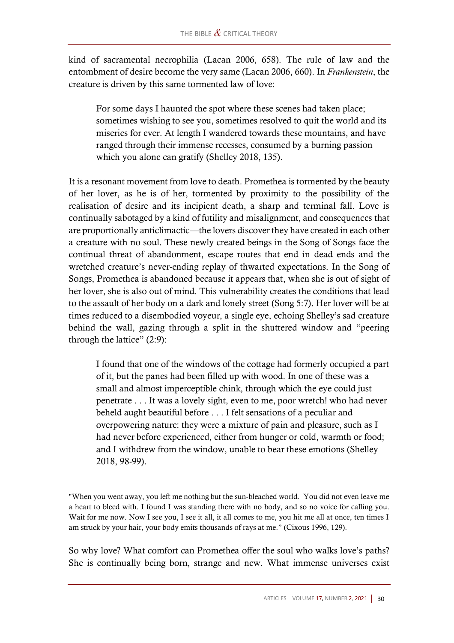kind of sacramental necrophilia (Lacan 2006, 658). The rule of law and the entombment of desire become the very same (Lacan 2006, 660). In *Frankenstein*, the creature is driven by this same tormented law of love:

For some days I haunted the spot where these scenes had taken place; sometimes wishing to see you, sometimes resolved to quit the world and its miseries for ever. At length I wandered towards these mountains, and have ranged through their immense recesses, consumed by a burning passion which you alone can gratify (Shelley 2018, 135).

It is a resonant movement from love to death. Promethea is tormented by the beauty of her lover, as he is of her, tormented by proximity to the possibility of the realisation of desire and its incipient death, a sharp and terminal fall. Love is continually sabotaged by a kind of futility and misalignment, and consequences that are proportionally anticlimactic—the lovers discover they have created in each other a creature with no soul. These newly created beings in the Song of Songs face the continual threat of abandonment, escape routes that end in dead ends and the wretched creature's never-ending replay of thwarted expectations. In the Song of Songs, Promethea is abandoned because it appears that, when she is out of sight of her lover, she is also out of mind. This vulnerability creates the conditions that lead to the assault of her body on a dark and lonely street (Song 5:7). Her lover will be at times reduced to a disembodied voyeur, a single eye, echoing Shelley's sad creature behind the wall, gazing through a split in the shuttered window and "peering through the lattice" (2:9):

I found that one of the windows of the cottage had formerly occupied a part of it, but the panes had been filled up with wood. In one of these was a small and almost imperceptible chink, through which the eye could just penetrate . . . It was a lovely sight, even to me, poor wretch! who had never beheld aught beautiful before . . . I felt sensations of a peculiar and overpowering nature: they were a mixture of pain and pleasure, such as I had never before experienced, either from hunger or cold, warmth or food; and I withdrew from the window, unable to bear these emotions (Shelley 2018, 98-99).

"When you went away, you left me nothing but the sun-bleached world. You did not even leave me a heart to bleed with. I found I was standing there with no body, and so no voice for calling you. Wait for me now. Now I see you, I see it all, it all comes to me, you hit me all at once, ten times I am struck by your hair, your body emits thousands of rays at me." (Cixous 1996, 129).

So why love? What comfort can Promethea offer the soul who walks love's paths? She is continually being born, strange and new. What immense universes exist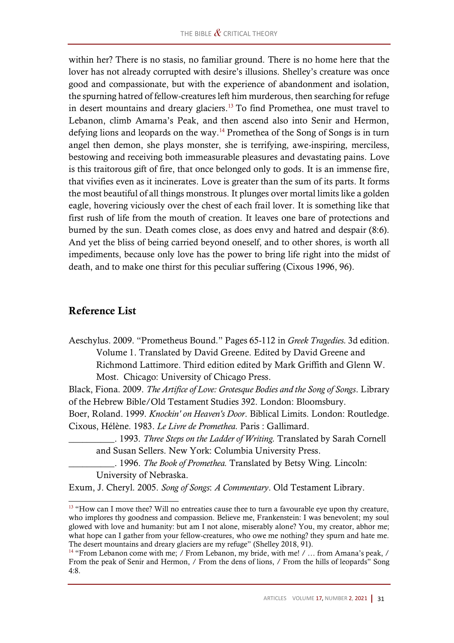within her? There is no stasis, no familiar ground. There is no home here that the lover has not already corrupted with desire's illusions. Shelley's creature was once good and compassionate, but with the experience of abandonment and isolation, the spurning hatred of fellow-creatures left him murderous, then searching for refuge in desert mountains and dreary glaciers.<sup>13</sup> To find Promethea, one must travel to Lebanon, climb Amarna's Peak, and then ascend also into Senir and Hermon, defying lions and leopards on the way.<sup>14</sup> Promethea of the Song of Songs is in turn angel then demon, she plays monster, she is terrifying, awe-inspiring, merciless, bestowing and receiving both immeasurable pleasures and devastating pains. Love is this traitorous gift of fire, that once belonged only to gods. It is an immense fire, that vivifies even as it incinerates. Love is greater than the sum of its parts. It forms the most beautiful of all things monstrous. It plunges over mortal limits like a golden eagle, hovering viciously over the chest of each frail lover. It is something like that first rush of life from the mouth of creation. It leaves one bare of protections and burned by the sun. Death comes close, as does envy and hatred and despair (8:6). And yet the bliss of being carried beyond oneself, and to other shores, is worth all impediments, because only love has the power to bring life right into the midst of death, and to make one thirst for this peculiar suffering (Cixous 1996, 96).

#### Reference List

Aeschylus. 2009. "Prometheus Bound." Pages 65-112 in *Greek Tragedies.* 3d edition. Volume 1. Translated by David Greene. Edited by David Greene and Richmond Lattimore. Third edition edited by Mark Griffith and Glenn W. Most. Chicago: University of Chicago Press.

Black, Fiona. 2009. *The Artifice of Love: Grotesque Bodies and the Song of Songs*. Library of the Hebrew Bible/Old Testament Studies 392. London: Bloomsbury.

Boer, Roland. 1999. *Knockin' on Heaven's Door*. Biblical Limits. London: Routledge. Cixous, Hélène. 1983. *Le Livre de Promethea.* Paris : Gallimard.

\_\_\_\_\_\_\_\_\_\_. 1993. *Three Steps on the Ladder of Writing.* Translated by Sarah Cornell and Susan Sellers. New York: Columbia University Press.

\_\_\_\_\_\_\_\_\_\_. 1996. *The Book of Promethea.* Translated by Betsy Wing. Lincoln: University of Nebraska.

Exum, J. Cheryl. 2005. *Song of Songs*: *A Commentary*. Old Testament Library.

<sup>&</sup>lt;sup>13</sup> "How can I move thee? Will no entreaties cause thee to turn a favourable eye upon thy creature, who implores thy goodness and compassion. Believe me, Frankenstein: I was benevolent; my soul glowed with love and humanity: but am I not alone, miserably alone? You, my creator, abhor me; what hope can I gather from your fellow-creatures, who owe me nothing? they spurn and hate me. The desert mountains and dreary glaciers are my refuge" (Shelley 2018, 91).

<sup>&</sup>lt;sup>14</sup> "From Lebanon come with me; / From Lebanon, my bride, with me! / ... from Amana's peak, / From the peak of Senir and Hermon, / From the dens of lions, / From the hills of leopards" Song 4:8.